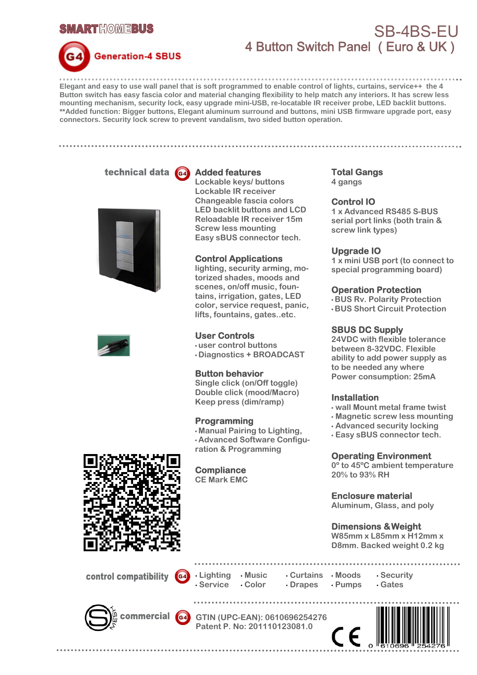



## SB-4BS-EU 4 Button Switch Panel ( Euro & UK )

**Elegant and easy to use wall panel that is soft programmed to enable control of lights, curtains, service++ the 4 Button switch has easy fascia color and material changing flexibility to help match any interiors. It has screw less mounting mechanism, security lock, easy upgrade mini-USB, re-locatable IR receiver probe, LED backlit buttons. \*\*Added function: Bigger buttons, Elegant aluminum surround and buttons, mini USB firmware upgrade port, easy connectors. Security lock screw to prevent vandalism, two sided button operation.** 

technical data G4





**Added features** 

**Lockable keys/ buttons Lockable IR receiver Changeable fascia colors LED backlit buttons and LCD Reloadable IR receiver 15m Screw less mounting Easy sBUS connector tech.** 

## **Control Applications**

**lighting, security arming, motorized shades, moods and scenes, on/off music, fountains, irrigation, gates, LED color, service request, panic, lifts, fountains, gates..etc.** 

#### **User Controls**

**• user control buttons** 

**• Diagnostics + BROADCAST**

#### **Button behavior**

**Single click (on/Off toggle) Double click (mood/Macro) Keep press (dim/ramp)**

#### **Programming**

**• Manual Pairing to Lighting, • Advanced Software Configuration & Programming** 

**Compliance CE Mark EMC** 

## **Total Gangs**

**4 gangs** 

## **Control IO**

**1 x Advanced RS485 S-BUS serial port links (both train & screw link types)** 

#### **Upgrade IO**

**1 x mini USB port (to connect to special programming board)** 

## **Operation Protection**

**• BUS Rv. Polarity Protection • BUS Short Circuit Protection** 

#### **SBUS DC Supply**

**24VDC with flexible tolerance between 8-32VDC. Flexible ability to add power supply as to be needed any where Power consumption: 25mA**

#### **Installation**

- **wall Mount metal frame twist**
- **Magnetic screw less mounting**
- **Advanced security locking**
- **Easy sBUS connector tech.**

#### **Operating Environment**

**0º to 45ºC ambient temperature 20% to 93% RH** 

**Enclosure material** 

**Aluminum, Glass, and poly** 

## **Dimensions & Weight**

**W85mm x L85mm x H12mm x D8mm. Backed weight 0.2 kg**

control compatibility





**GTIN (UPC-EAN): 0610696254276 Patent P. No: 201110123081.0**